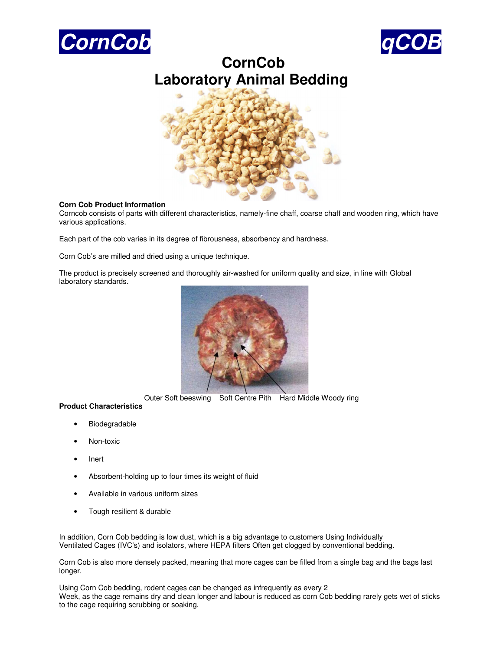



# **CornCob Laboratory Animal Bedding**



### **Corn Cob Product Information**

Corncob consists of parts with different characteristics, namely-fine chaff, coarse chaff and wooden ring, which have various applications.

Each part of the cob varies in its degree of fibrousness, absorbency and hardness.

Corn Cob's are milled and dried using a unique technique.

The product is precisely screened and thoroughly air-washed for uniform quality and size, in line with Global laboratory standards.



Outer Soft beeswing Soft Centre Pith Hard Middle Woody ring

# **Product Characteristics**

- Biodegradable
- Non-toxic
- Inert
- Absorbent-holding up to four times its weight of fluid
- Available in various uniform sizes
- Tough resilient & durable

In addition, Corn Cob bedding is low dust, which is a big advantage to customers Using Individually Ventilated Cages (IVC's) and isolators, where HEPA filters Often get clogged by conventional bedding.

Corn Cob is also more densely packed, meaning that more cages can be filled from a single bag and the bags last longer.

Using Corn Cob bedding, rodent cages can be changed as infrequently as every 2 Week, as the cage remains dry and clean longer and labour is reduced as corn Cob bedding rarely gets wet of sticks to the cage requiring scrubbing or soaking.